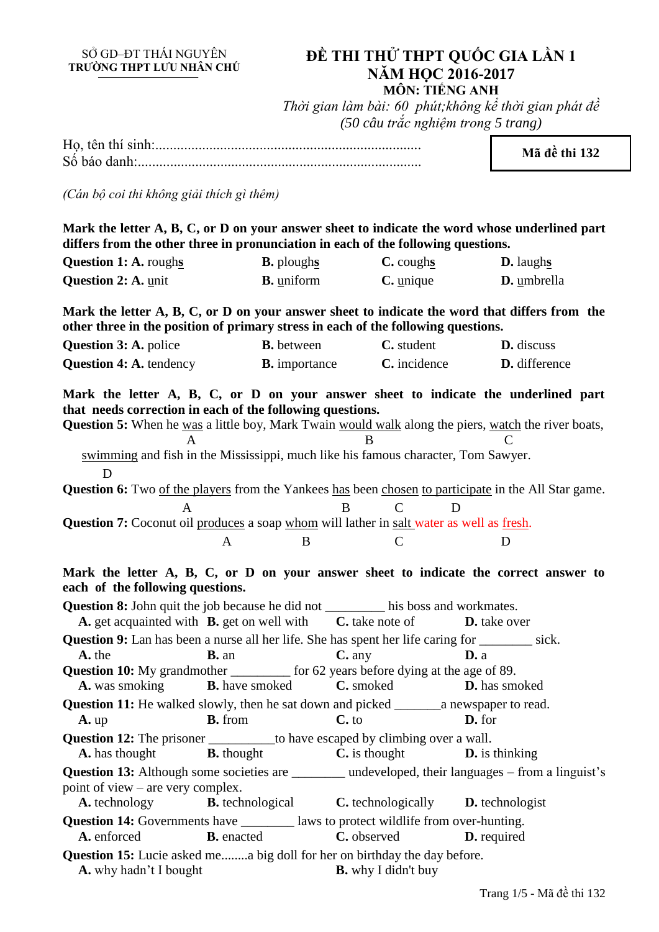# SỞ GD–ĐT THÁI NGUYÊN<br>TRƯỜNG THPT LƯU NHÂN CHÚ

## **ĐỀ THI THỬ THPT QUỐC GIA LẦN 1 NĂM HỌC 2016-2017 MÔN: TIẾNG ANH**

*Thời gian làm bài: 60 phút;không kể thời gian phát đề (50 câu trắc nghiệm trong 5 trang)*

Họ, tên thí sinh:.......................................................................... Số báo danh:............................................................................... **Mã đề thi 132** *(Cán bộ coi thi không giải thích gì thêm)* **Mark the letter A, B, C, or D on your answer sheet to indicate the word whose underlined part differs from the other three in pronunciation in each of the following questions. Question 1: A.** roughs **B.** ploughs **C.** coughs **D.** laughs **Question 2: A.** unit **B.** uniform **C.** unique **D.** umbrella **Mark the letter A, B, C, or D on your answer sheet to indicate the word that differs from the other three in the position of primary stress in each of the following questions. Question 3: A.** police **B.** between **C.** student **D.** discuss **Question 4:** A. tendency **B.** importance **C.** incidence **D.** difference **Mark the letter A, B, C, or D on your answer sheet to indicate the underlined part that needs correction in each of the following questions. Question 5:** When he was a little boy, Mark Twain would walk along the piers, watch the river boats, A B C swimming and fish in the Mississippi, much like his famous character, Tom Sawyer. D Question 6: Two of the players from the Yankees has been chosen to participate in the All Star game. A B C D **Question 7:** Coconut oil produces a soap whom will lather in salt water as well as fresh. A B C D **Mark the letter A, B, C, or D on your answer sheet to indicate the correct answer to each of the following questions. Question 8:** John quit the job because he did not \_\_\_\_\_\_\_\_\_ his boss and workmates. **A.** get acquainted with **B.** get on well with **C.** take note of **D.** take over **Question 9:** Lan has been a nurse all her life. She has spent her life caring for \_\_\_\_\_\_\_\_ sick. **A.** the **B.** an **C.** any **D.** a **Question 10:** My grandmother \_\_\_\_\_\_\_\_\_ for 62 years before dying at the age of 89. **A.** was smoking **B.** have smoked **C.** smoked **D.** has smoked **Question 11:** He walked slowly, then he sat down and picked \_\_\_\_\_\_\_a newspaper to read. **A.** up **B.** from **C.** to **D.** for **Question 12:** The prisoner \_\_\_\_\_\_\_\_\_\_to have escaped by climbing over a wall. **A.** has thought **B.** thought **C.** is thought **D.** is thinking **Question 13:** Although some societies are \_\_\_\_\_\_\_\_ undeveloped, their languages – from a linguist's point of view – are very complex. **A.** technology **B.** technological **C.** technologically **D.** technologist **Question 14:** Governments have \_\_\_\_\_\_\_\_ laws to protect wildlife from over-hunting. **A.** enforced **B.** enacted **C.** observed **D.** required **Question 15:** Lucie asked me........a big doll for her on birthday the day before. **A.** why hadn't I bought **B.** why I didn't buy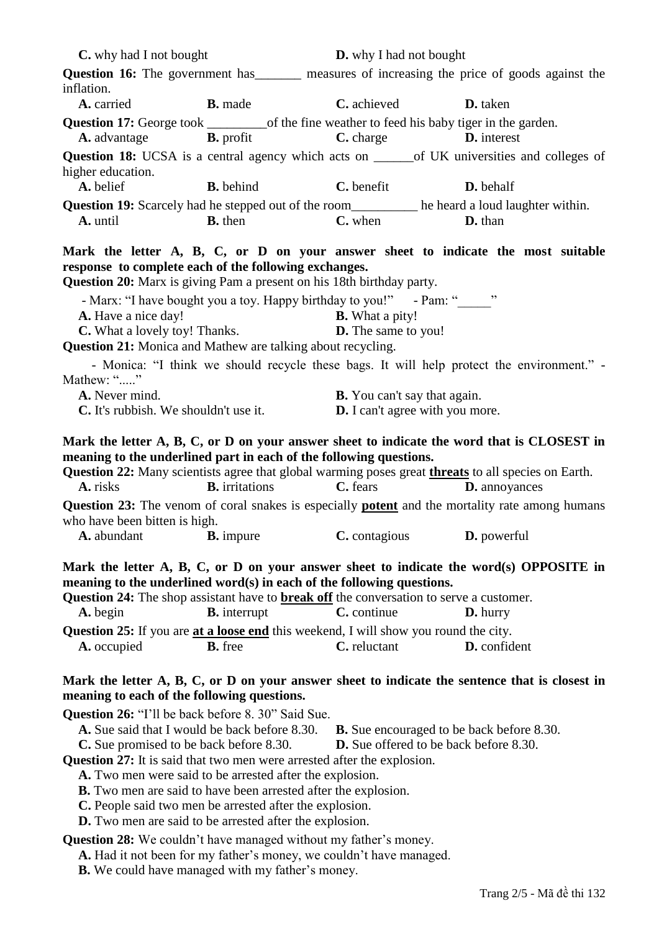| <b>C.</b> why had I not bought                                                                                                                                                                                                                                                                        |                                                                                                                                                                                           | <b>D.</b> why I had not bought                                                                    |                                                                                                                    |  |  |  |
|-------------------------------------------------------------------------------------------------------------------------------------------------------------------------------------------------------------------------------------------------------------------------------------------------------|-------------------------------------------------------------------------------------------------------------------------------------------------------------------------------------------|---------------------------------------------------------------------------------------------------|--------------------------------------------------------------------------------------------------------------------|--|--|--|
|                                                                                                                                                                                                                                                                                                       |                                                                                                                                                                                           | <b>Question 16:</b> The government has measures of increasing the price of goods against the      |                                                                                                                    |  |  |  |
| inflation.                                                                                                                                                                                                                                                                                            |                                                                                                                                                                                           |                                                                                                   |                                                                                                                    |  |  |  |
| A. carried                                                                                                                                                                                                                                                                                            | <b>B.</b> made                                                                                                                                                                            | <b>C.</b> achieved                                                                                | <b>D.</b> taken                                                                                                    |  |  |  |
|                                                                                                                                                                                                                                                                                                       | <b>A.</b> advantage <b>B.</b> profit <b>C.</b> charge                                                                                                                                     |                                                                                                   | <b>D.</b> interest                                                                                                 |  |  |  |
|                                                                                                                                                                                                                                                                                                       |                                                                                                                                                                                           |                                                                                                   | Question 18: UCSA is a central agency which acts on ______ of UK universities and colleges of                      |  |  |  |
| higher education.<br>A. belief                                                                                                                                                                                                                                                                        | <b>B.</b> behind <b>C.</b> benefit                                                                                                                                                        |                                                                                                   | <b>D.</b> behalf                                                                                                   |  |  |  |
|                                                                                                                                                                                                                                                                                                       |                                                                                                                                                                                           |                                                                                                   |                                                                                                                    |  |  |  |
| Question 19: Scarcely had he stepped out of the room________ he heard a loud laughter within.<br>A. until                                                                                                                                                                                             | <b>B.</b> then                                                                                                                                                                            | $C.$ when                                                                                         | <b>D.</b> than                                                                                                     |  |  |  |
| Mark the letter A, B, C, or D on your answer sheet to indicate the most suitable<br>response to complete each of the following exchanges.<br><b>Question 20:</b> Marx is giving Pam a present on his 18th birthday party.<br>- Marx: "I have bought you a toy. Happy birthday to you!" - Pam: "_____" |                                                                                                                                                                                           |                                                                                                   |                                                                                                                    |  |  |  |
| A. Have a nice day!                                                                                                                                                                                                                                                                                   | A. Have a nice day!<br>C. What a lovely toy! Thanks.                                                                                                                                      | <b>B.</b> What a pity!<br><b>D.</b> The same to you!                                              |                                                                                                                    |  |  |  |
| <b>Question 21:</b> Monica and Mathew are talking about recycling.                                                                                                                                                                                                                                    |                                                                                                                                                                                           |                                                                                                   |                                                                                                                    |  |  |  |
| Mathew: ""                                                                                                                                                                                                                                                                                            |                                                                                                                                                                                           |                                                                                                   | - Monica: "I think we should recycle these bags. It will help protect the environment." -                          |  |  |  |
| A. Never mind.<br><b>C.</b> It's rubbish. We shouldn't use it.                                                                                                                                                                                                                                        |                                                                                                                                                                                           | <b>B.</b> You can't say that again.<br><b>D.</b> I can't agree with you more.                     |                                                                                                                    |  |  |  |
| meaning to the underlined part in each of the following questions.<br>Question 22: Many scientists agree that global warming poses great <i>threats</i> to all species on Earth.<br>A. risks                                                                                                          | <b>B.</b> irritations <b>C.</b> fears                                                                                                                                                     |                                                                                                   | Mark the letter A, B, C, or D on your answer sheet to indicate the word that is CLOSEST in<br><b>D.</b> annoyances |  |  |  |
| who have been bitten is high.                                                                                                                                                                                                                                                                         |                                                                                                                                                                                           |                                                                                                   | Question 23: The venom of coral snakes is especially <b>potent</b> and the mortality rate among humans             |  |  |  |
| <b>A.</b> abundant <b>B.</b> impure                                                                                                                                                                                                                                                                   |                                                                                                                                                                                           | C. contagious                                                                                     | <b>D.</b> powerful                                                                                                 |  |  |  |
| Mark the letter A, B, C, or D on your answer sheet to indicate the word(s) OPPOSITE in<br>meaning to the underlined word(s) in each of the following questions.<br><b>Question 24:</b> The shop assistant have to <b>break off</b> the conversation to serve a customer.                              |                                                                                                                                                                                           |                                                                                                   |                                                                                                                    |  |  |  |
| A. begin                                                                                                                                                                                                                                                                                              | <b>B.</b> interrupt                                                                                                                                                                       | C. continue                                                                                       | D. hurry                                                                                                           |  |  |  |
| <b>Question 25:</b> If you are <b>at a loose end</b> this weekend, I will show you round the city.                                                                                                                                                                                                    |                                                                                                                                                                                           |                                                                                                   |                                                                                                                    |  |  |  |
| A. occupied                                                                                                                                                                                                                                                                                           | <b>B.</b> free                                                                                                                                                                            | C. reluctant                                                                                      | D. confident                                                                                                       |  |  |  |
| Mark the letter A, B, C, or D on your answer sheet to indicate the sentence that is closest in<br>meaning to each of the following questions.                                                                                                                                                         |                                                                                                                                                                                           |                                                                                                   |                                                                                                                    |  |  |  |
| Question 26: "I'll be back before 8. 30" Said Sue.<br><b>C.</b> Sue promised to be back before 8.30.<br><b>Question 27:</b> It is said that two men were arrested after the explosion.                                                                                                                | <b>A.</b> Sue said that I would be back before 8.30.<br>A. Two men were said to be arrested after the explosion.<br><b>B.</b> Two men are said to have been arrested after the explosion. | <b>B.</b> Sue encouraged to be back before 8.30.<br><b>D.</b> Sue offered to be back before 8.30. |                                                                                                                    |  |  |  |
| C. People said two men be arrested after the explosion.<br><b>D.</b> Two men are said to be arrested after the explosion.                                                                                                                                                                             |                                                                                                                                                                                           |                                                                                                   |                                                                                                                    |  |  |  |
| <b>Question 28:</b> We couldn't have managed without my father's money.<br>A. Had it not been for my father's money, we couldn't have managed.                                                                                                                                                        |                                                                                                                                                                                           |                                                                                                   |                                                                                                                    |  |  |  |

**B.** We could have managed with my father's money.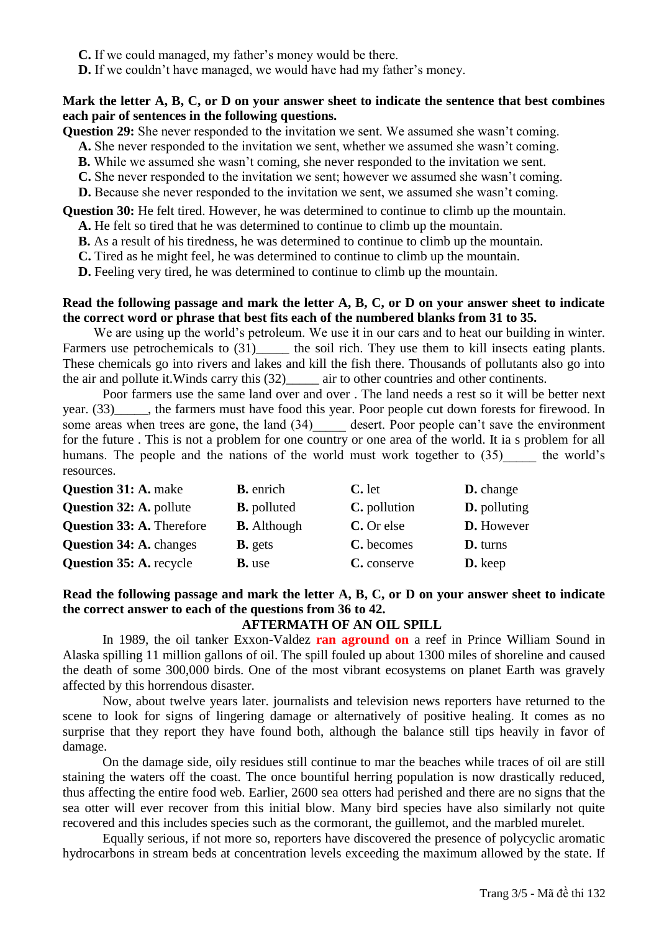**C.** If we could managed, my father's money would be there.

**D.** If we couldn't have managed, we would have had my father's money.

#### **Mark the letter A, B, C, or D on your answer sheet to indicate the sentence that best combines each pair of sentences in the following questions.**

**Question 29:** She never responded to the invitation we sent. We assumed she wasn't coming.

**A.** She never responded to the invitation we sent, whether we assumed she wasn't coming.

**B.** While we assumed she wasn't coming, she never responded to the invitation we sent.

**C.** She never responded to the invitation we sent; however we assumed she wasn't coming.

**D.** Because she never responded to the invitation we sent, we assumed she wasn't coming.

**Question 30:** He felt tired. However, he was determined to continue to climb up the mountain.

**A.** He felt so tired that he was determined to continue to climb up the mountain.

**B.** As a result of his tiredness, he was determined to continue to climb up the mountain.

**C.** Tired as he might feel, he was determined to continue to climb up the mountain.

**D.** Feeling very tired, he was determined to continue to climb up the mountain.

## **Read the following passage and mark the letter A, B, C, or D on your answer sheet to indicate the correct word or phrase that best fits each of the numbered blanks from 31 to 35.**

We are using up the world's petroleum. We use it in our cars and to heat our building in winter. Farmers use petrochemicals to (31)\_\_\_\_\_\_ the soil rich. They use them to kill insects eating plants. These chemicals go into rivers and lakes and kill the fish there. Thousands of pollutants also go into the air and pollute it.Winds carry this (32)\_\_\_\_\_ air to other countries and other continents.

Poor farmers use the same land over and over . The land needs a rest so it will be better next year. (33)  $\qquad$ , the farmers must have food this year. Poor people cut down forests for firewood. In some areas when trees are gone, the land  $(34)$  desert. Poor people can't save the environment for the future . This is not a problem for one country or one area of the world. It ia s problem for all humans. The people and the nations of the world must work together to (35) the world's resources.

| <b>Question 31: A. make</b>      | <b>B.</b> enrich   | $C.$ let     | <b>D.</b> change    |
|----------------------------------|--------------------|--------------|---------------------|
| <b>Question 32: A. pollute</b>   | <b>B.</b> polluted | C. pollution | <b>D.</b> polluting |
| <b>Question 33: A. Therefore</b> | <b>B.</b> Although | C. Or else   | D. However          |
| <b>Question 34: A. changes</b>   | <b>B.</b> gets     | C. becomes   | <b>D.</b> turns     |
| <b>Question 35: A. recycle</b>   | <b>B.</b> use      | C. conserve  | D. keep             |

## **Read the following passage and mark the letter A, B, C, or D on your answer sheet to indicate the correct answer to each of the questions from 36 to 42.**

## **AFTERMATH OF AN OIL SPILL**

In 1989, the oil tanker Exxon-Valdez **ran aground on** a reef in Prince William Sound in Alaska spilling 11 million gallons of oil. The spill fouled up about 1300 miles of shoreline and caused the death of some 300,000 birds. One of the most vibrant ecosystems on planet Earth was gravely affected by this horrendous disaster.

Now, about twelve years later. journalists and television news reporters have returned to the scene to look for signs of lingering damage or alternatively of positive healing. It comes as no surprise that they report they have found both, although the balance still tips heavily in favor of damage.

On the damage side, oily residues still continue to mar the beaches while traces of oil are still staining the waters off the coast. The once bountiful herring population is now drastically reduced, thus affecting the entire food web. Earlier, 2600 sea otters had perished and there are no signs that the sea otter will ever recover from this initial blow. Many bird species have also similarly not quite recovered and this includes species such as the cormorant, the guillemot, and the marbled murelet.

Equally serious, if not more so, reporters have discovered the presence of polycyclic aromatic hydrocarbons in stream beds at concentration levels exceeding the maximum allowed by the state. If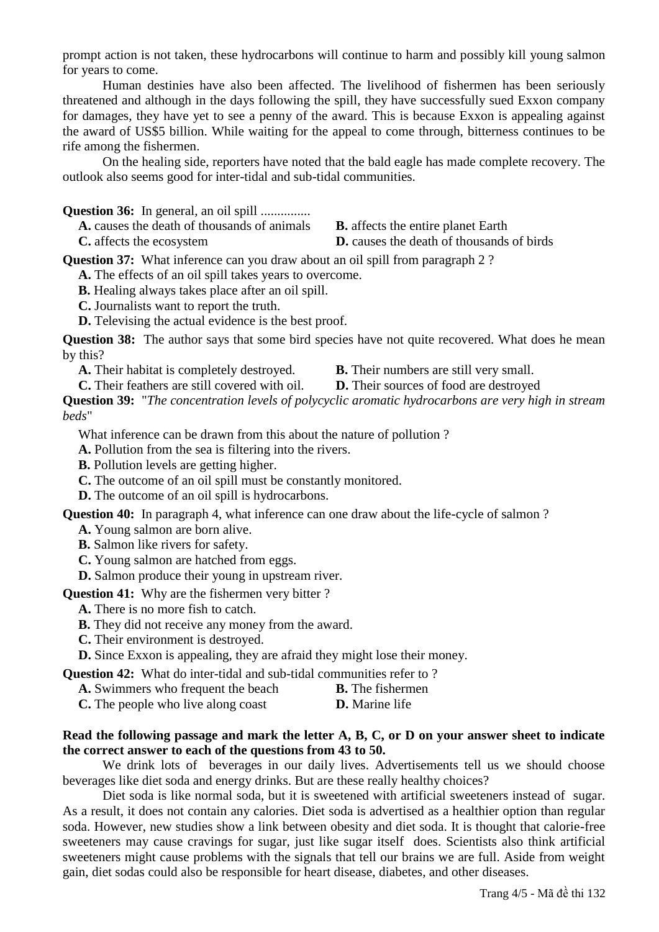prompt action is not taken, these hydrocarbons will continue to harm and possibly kill young salmon for years to come.

Human destinies have also been affected. The livelihood of fishermen has been seriously threatened and although in the days following the spill, they have successfully sued Exxon company for damages, they have yet to see a penny of the award. This is because Exxon is appealing against the award of US\$5 billion. While waiting for the appeal to come through, bitterness continues to be rife among the fishermen.

On the healing side, reporters have noted that the bald eagle has made complete recovery. The outlook also seems good for inter-tidal and sub-tidal communities.

**Question 36:** In general, an oil spill ................

**A.** causes the death of thousands of animals **B.** affects the entire planet Earth **C.** affects the ecosystem **D.** causes the death of thousands of birds

**Question 37:** What inference can you draw about an oil spill from paragraph 2 ?

**A.** The effects of an oil spill takes years to overcome.

**B.** Healing always takes place after an oil spill.

**C.** Journalists want to report the truth.

**D.** Televising the actual evidence is the best proof.

**Question 38:** The author says that some bird species have not quite recovered. What does he mean by this?

**A.** Their habitat is completely destroyed. **B.** Their numbers are still very small.

- 
- **C.** Their feathers are still covered with oil. **D.** Their sources of food are destroyed

**Question 39:** "*The concentration levels of polycyclic aromatic hydrocarbons are very high in stream beds*"

What inference can be drawn from this about the nature of pollution ?

**A.** Pollution from the sea is filtering into the rivers.

**B.** Pollution levels are getting higher.

**C.** The outcome of an oil spill must be constantly monitored.

**D.** The outcome of an oil spill is hydrocarbons.

**Question 40:** In paragraph 4, what inference can one draw about the life-cycle of salmon ?

**A.** Young salmon are born alive.

**B.** Salmon like rivers for safety.

**C.** Young salmon are hatched from eggs.

**D.** Salmon produce their young in upstream river.

**Question 41:** Why are the fishermen very bitter ?

**A.** There is no more fish to catch.

**B.** They did not receive any money from the award.

**C.** Their environment is destroyed.

**D.** Since Exxon is appealing, they are afraid they might lose their money.

**Question 42:** What do inter-tidal and sub-tidal communities refer to ?

**A.** Swimmers who frequent the beach **B.** The fishermen

**C.** The people who live along coast **D.** Marine life

## **Read the following passage and mark the letter A, B, C, or D on your answer sheet to indicate the correct answer to each of the questions from 43 to 50.**

We drink lots of beverages in our daily lives. Advertisements tell us we should choose beverages like diet soda and energy drinks. But are these really healthy choices?

Diet soda is like normal soda, but it is sweetened with artificial sweeteners instead of sugar. As a result, it does not contain any calories. Diet soda is advertised as a healthier option than regular soda. However, new studies show a link between obesity and diet soda. It is thought that calorie-free sweeteners may cause cravings for sugar, just like sugar itself does. Scientists also think artificial sweeteners might cause problems with the signals that tell our brains we are full. Aside from weight gain, diet sodas could also be responsible for heart disease, diabetes, and other diseases.